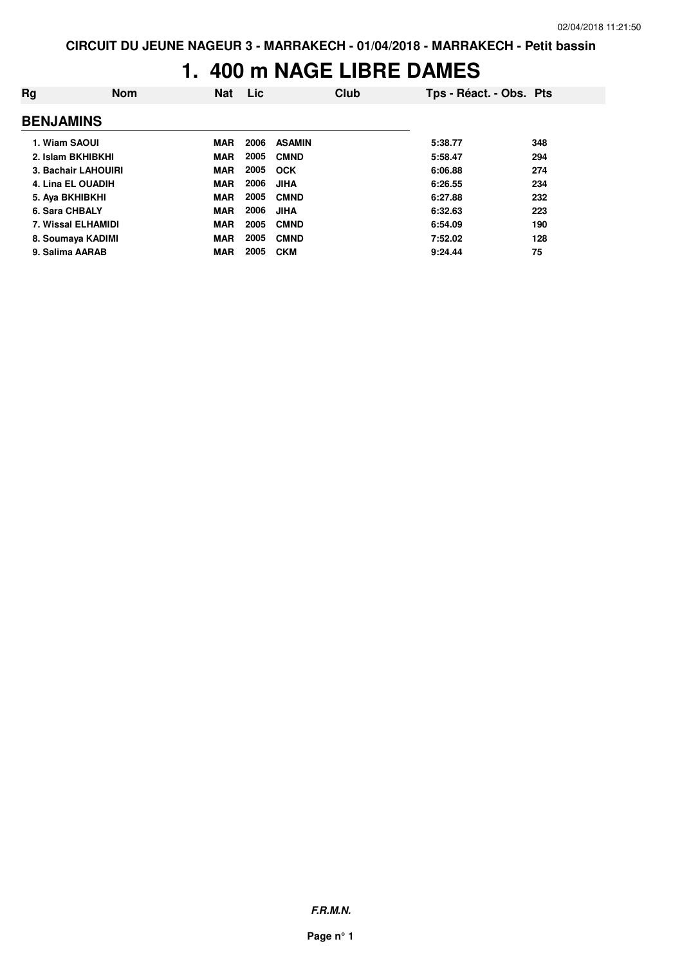#### **1. 400 m NAGE LIBRE DAMES**

| Rg               | <b>Nom</b>          | <b>Nat</b> | <b>Lic</b> | Club          | Tps - Réact. - Obs. Pts |     |
|------------------|---------------------|------------|------------|---------------|-------------------------|-----|
| <b>BENJAMINS</b> |                     |            |            |               |                         |     |
| 1. Wiam SAOUI    |                     | <b>MAR</b> | 2006       | <b>ASAMIN</b> | 5:38.77                 | 348 |
|                  | 2. Islam BKHIBKHI   | <b>MAR</b> | 2005       | <b>CMND</b>   | 5:58.47                 | 294 |
|                  | 3. Bachair LAHOUIRI | <b>MAR</b> | 2005       | <b>OCK</b>    | 6:06.88                 | 274 |
|                  | 4. Lina EL OUADIH   | <b>MAR</b> | 2006       | <b>JIHA</b>   | 6:26.55                 | 234 |
|                  | 5. Aya BKHIBKHI     | <b>MAR</b> | 2005       | <b>CMND</b>   | 6:27.88                 | 232 |
| 6. Sara CHBALY   |                     | <b>MAR</b> | 2006       | <b>JIHA</b>   | 6:32.63                 | 223 |
|                  | 7. Wissal ELHAMIDI  | <b>MAR</b> | 2005       | <b>CMND</b>   | 6:54.09                 | 190 |
|                  | 8. Soumaya KADIMI   | <b>MAR</b> | 2005       | <b>CMND</b>   | 7:52.02                 | 128 |
|                  | 9. Salima AARAB     | <b>MAR</b> | 2005       | <b>CKM</b>    | 9:24.44                 | 75  |

**F.R.M.N.**

**Page n° 1**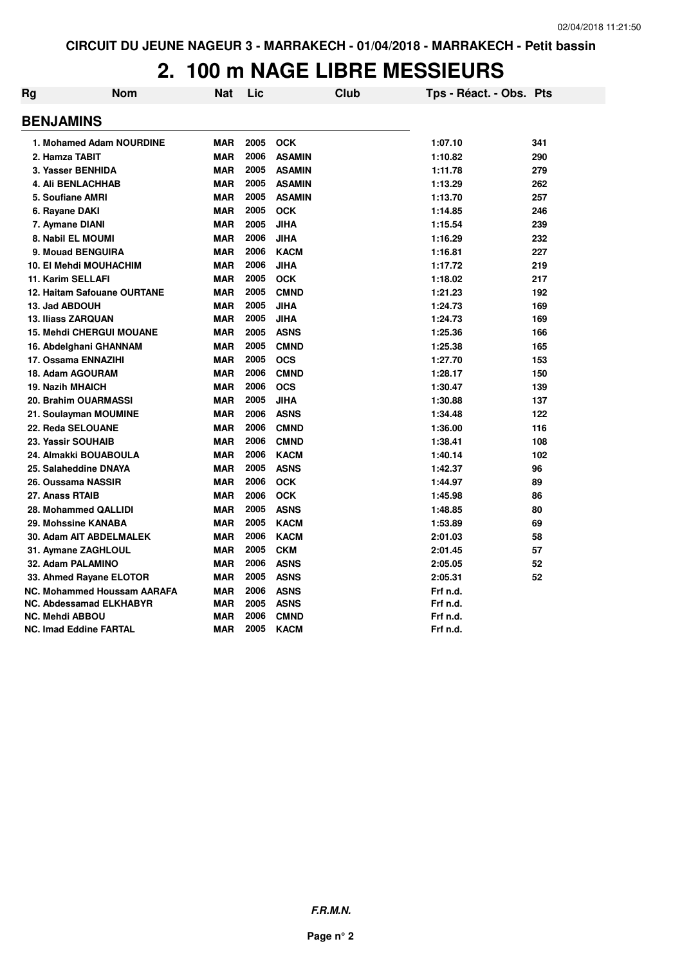# **2. 100 m NAGE LIBRE MESSIEURS**

| Rg | <b>Nom</b>                         | Nat        | Lic  |               | Club | Tps - Réact. - Obs. Pts |     |
|----|------------------------------------|------------|------|---------------|------|-------------------------|-----|
|    | <b>BENJAMINS</b>                   |            |      |               |      |                         |     |
|    | 1. Mohamed Adam NOURDINE           | <b>MAR</b> | 2005 | <b>OCK</b>    |      | 1:07.10                 | 341 |
|    | 2. Hamza TABIT                     | <b>MAR</b> | 2006 | <b>ASAMIN</b> |      | 1:10.82                 | 290 |
|    | 3. Yasser BENHIDA                  | <b>MAR</b> | 2005 | <b>ASAMIN</b> |      | 1:11.78                 | 279 |
|    | <b>4. Ali BENLACHHAB</b>           | <b>MAR</b> | 2005 | <b>ASAMIN</b> |      | 1:13.29                 | 262 |
|    | 5. Soufiane AMRI                   | <b>MAR</b> | 2005 | <b>ASAMIN</b> |      | 1:13.70                 | 257 |
|    | 6. Rayane DAKI                     | <b>MAR</b> | 2005 | <b>OCK</b>    |      | 1:14.85                 | 246 |
|    | 7. Aymane DIANI                    | <b>MAR</b> | 2005 | <b>JIHA</b>   |      | 1:15.54                 | 239 |
|    | 8. Nabil EL MOUMI                  | <b>MAR</b> | 2006 | <b>JIHA</b>   |      | 1:16.29                 | 232 |
|    | 9. Mouad BENGUIRA                  | <b>MAR</b> | 2006 | <b>KACM</b>   |      | 1:16.81                 | 227 |
|    | <b>10. El Mehdi MOUHACHIM</b>      | <b>MAR</b> | 2006 | <b>JIHA</b>   |      | 1:17.72                 | 219 |
|    | 11. Karim SELLAFI                  | <b>MAR</b> | 2005 | <b>OCK</b>    |      | 1:18.02                 | 217 |
|    | 12. Haitam Safouane OURTANE        | <b>MAR</b> | 2005 | <b>CMND</b>   |      | 1:21.23                 | 192 |
|    | 13. Jad ABDOUH                     | <b>MAR</b> | 2005 | <b>JIHA</b>   |      | 1:24.73                 | 169 |
|    | <b>13. Iliass ZARQUAN</b>          | <b>MAR</b> | 2005 | <b>JIHA</b>   |      | 1:24.73                 | 169 |
|    | <b>15. Mehdi CHERGUI MOUANE</b>    | <b>MAR</b> | 2005 | <b>ASNS</b>   |      | 1:25.36                 | 166 |
|    | 16. Abdelghani GHANNAM             | <b>MAR</b> | 2005 | <b>CMND</b>   |      | 1:25.38                 | 165 |
|    | 17. Ossama ENNAZIHI                | <b>MAR</b> | 2005 | <b>OCS</b>    |      | 1:27.70                 | 153 |
|    | 18. Adam AGOURAM                   | <b>MAR</b> | 2006 | <b>CMND</b>   |      | 1:28.17                 | 150 |
|    | <b>19. Nazih MHAICH</b>            | <b>MAR</b> | 2006 | <b>OCS</b>    |      | 1:30.47                 | 139 |
|    | 20. Brahim OUARMASSI               | <b>MAR</b> | 2005 | <b>JIHA</b>   |      | 1:30.88                 | 137 |
|    | 21. Soulayman MOUMINE              | <b>MAR</b> | 2006 | <b>ASNS</b>   |      | 1:34.48                 | 122 |
|    | 22. Reda SELOUANE                  | <b>MAR</b> | 2006 | <b>CMND</b>   |      | 1:36.00                 | 116 |
|    | 23. Yassir SOUHAIB                 | <b>MAR</b> | 2006 | <b>CMND</b>   |      | 1:38.41                 | 108 |
|    | 24. Almakki BOUABOULA              | <b>MAR</b> | 2006 | <b>KACM</b>   |      | 1:40.14                 | 102 |
|    | 25. Salaheddine DNAYA              | <b>MAR</b> | 2005 | <b>ASNS</b>   |      | 1:42.37                 | 96  |
|    | 26. Oussama NASSIR                 | <b>MAR</b> | 2006 | <b>OCK</b>    |      | 1:44.97                 | 89  |
|    | 27. Anass RTAIB                    | <b>MAR</b> | 2006 | <b>OCK</b>    |      | 1:45.98                 | 86  |
|    | 28. Mohammed QALLIDI               | <b>MAR</b> | 2005 | <b>ASNS</b>   |      | 1:48.85                 | 80  |
|    | 29. Mohssine KANABA                | <b>MAR</b> | 2005 | <b>KACM</b>   |      | 1:53.89                 | 69  |
|    | 30. Adam AIT ABDELMALEK            | <b>MAR</b> | 2006 | <b>KACM</b>   |      | 2:01.03                 | 58  |
|    | 31. Aymane ZAGHLOUL                | <b>MAR</b> | 2005 | <b>CKM</b>    |      | 2:01.45                 | 57  |
|    | 32. Adam PALAMINO                  | <b>MAR</b> | 2006 | <b>ASNS</b>   |      | 2:05.05                 | 52  |
|    | 33. Ahmed Rayane ELOTOR            | <b>MAR</b> | 2005 | <b>ASNS</b>   |      | 2:05.31                 | 52  |
|    | <b>NC. Mohammed Houssam AARAFA</b> | <b>MAR</b> | 2006 | <b>ASNS</b>   |      | Frf n.d.                |     |
|    | <b>NC. Abdessamad ELKHABYR</b>     | <b>MAR</b> | 2005 | <b>ASNS</b>   |      | Frf n.d.                |     |
|    | <b>NC. Mehdi ABBOU</b>             | <b>MAR</b> | 2006 | <b>CMND</b>   |      | Frf n.d.                |     |
|    | <b>NC. Imad Eddine FARTAL</b>      | <b>MAR</b> | 2005 | <b>KACM</b>   |      | Frf n.d.                |     |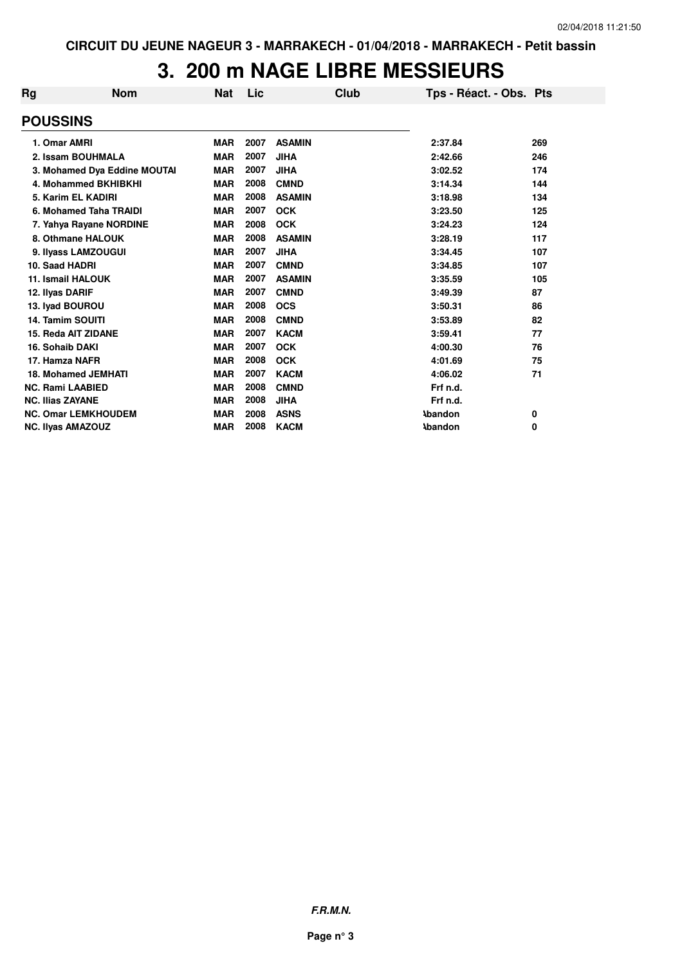## **3. 200 m NAGE LIBRE MESSIEURS**

| Rg | <b>Nom</b>                   | <b>Nat</b> | Lic  | Club          | Tps - Réact. - Obs. Pts |     |
|----|------------------------------|------------|------|---------------|-------------------------|-----|
|    | <b>POUSSINS</b>              |            |      |               |                         |     |
|    | 1. Omar AMRI                 | <b>MAR</b> | 2007 | <b>ASAMIN</b> | 2:37.84                 | 269 |
|    | 2. Issam BOUHMALA            | <b>MAR</b> | 2007 | <b>JIHA</b>   | 2:42.66                 | 246 |
|    | 3. Mohamed Dya Eddine MOUTAI | <b>MAR</b> | 2007 | <b>JIHA</b>   | 3:02.52                 | 174 |
|    | 4. Mohammed BKHIBKHI         | <b>MAR</b> | 2008 | <b>CMND</b>   | 3:14.34                 | 144 |
|    | 5. Karim EL KADIRI           | <b>MAR</b> | 2008 | <b>ASAMIN</b> | 3:18.98                 | 134 |
|    | 6. Mohamed Taha TRAIDI       | <b>MAR</b> | 2007 | <b>OCK</b>    | 3:23.50                 | 125 |
|    | 7. Yahya Rayane NORDINE      | <b>MAR</b> | 2008 | <b>OCK</b>    | 3:24.23                 | 124 |
|    | 8. Othmane HALOUK            | <b>MAR</b> | 2008 | <b>ASAMIN</b> | 3:28.19                 | 117 |
|    | 9. Ilyass LAMZOUGUI          | <b>MAR</b> | 2007 | <b>JIHA</b>   | 3:34.45                 | 107 |
|    | 10. Saad HADRI               | <b>MAR</b> | 2007 | <b>CMND</b>   | 3:34.85                 | 107 |
|    | <b>11. Ismail HALOUK</b>     | <b>MAR</b> | 2007 | <b>ASAMIN</b> | 3:35.59                 | 105 |
|    | 12. Ilyas DARIF              | <b>MAR</b> | 2007 | <b>CMND</b>   | 3:49.39                 | 87  |
|    | 13. Iyad BOUROU              | <b>MAR</b> | 2008 | <b>OCS</b>    | 3:50.31                 | 86  |
|    | <b>14. Tamim SOUITI</b>      | <b>MAR</b> | 2008 | <b>CMND</b>   | 3:53.89                 | 82  |
|    | 15. Reda AIT ZIDANE          | <b>MAR</b> | 2007 | <b>KACM</b>   | 3:59.41                 | 77  |
|    | 16. Sohaib DAKI              | <b>MAR</b> | 2007 | <b>OCK</b>    | 4:00.30                 | 76  |
|    | 17. Hamza NAFR               | <b>MAR</b> | 2008 | <b>OCK</b>    | 4:01.69                 | 75  |
|    | <b>18. Mohamed JEMHATI</b>   | <b>MAR</b> | 2007 | <b>KACM</b>   | 4:06.02                 | 71  |
|    | <b>NC. Rami LAABIED</b>      | <b>MAR</b> | 2008 | <b>CMND</b>   | Frf n.d.                |     |
|    | <b>NC. Ilias ZAYANE</b>      | <b>MAR</b> | 2008 | <b>JIHA</b>   | Frf n.d.                |     |
|    | <b>NC. Omar LEMKHOUDEM</b>   | <b>MAR</b> | 2008 | <b>ASNS</b>   | <b>Abandon</b>          | 0   |
|    | <b>NC. Ilyas AMAZOUZ</b>     | <b>MAR</b> | 2008 | <b>KACM</b>   | <b>\bandon</b>          | 0   |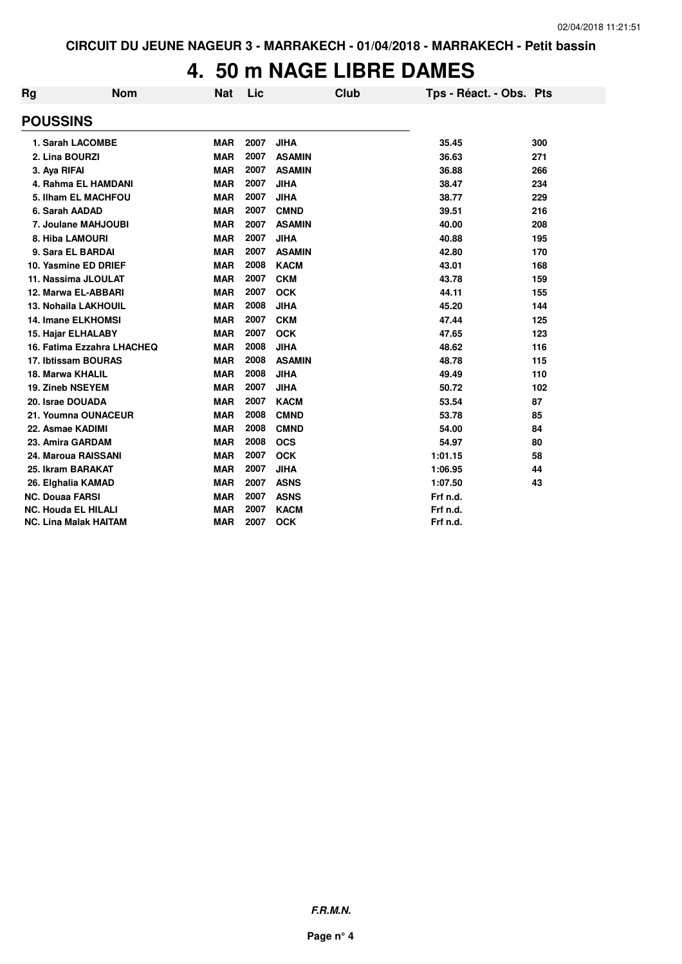#### **4. 50 m NAGE LIBRE DAMES**

| Rg | <b>Nom</b>                   | Nat        | Lic  | <b>Club</b>   | Tps - Réact. - Obs. Pts |     |
|----|------------------------------|------------|------|---------------|-------------------------|-----|
|    | <b>POUSSINS</b>              |            |      |               |                         |     |
|    | 1. Sarah LACOMBE             | <b>MAR</b> | 2007 | <b>JIHA</b>   | 35.45                   | 300 |
|    | 2. Lina BOURZI               | <b>MAR</b> | 2007 | <b>ASAMIN</b> | 36.63                   | 271 |
|    | 3. Aya RIFAI                 | <b>MAR</b> | 2007 | <b>ASAMIN</b> | 36.88                   | 266 |
|    | 4. Rahma EL HAMDANI          | <b>MAR</b> | 2007 | <b>JIHA</b>   | 38.47                   | 234 |
|    | 5. Ilham EL MACHFOU          | <b>MAR</b> | 2007 | <b>JIHA</b>   | 38.77                   | 229 |
|    | 6. Sarah AADAD               | <b>MAR</b> | 2007 | <b>CMND</b>   | 39.51                   | 216 |
|    | 7. Joulane MAHJOUBI          | <b>MAR</b> | 2007 | <b>ASAMIN</b> | 40.00                   | 208 |
|    | 8. Hiba LAMOURI              | <b>MAR</b> | 2007 | <b>JIHA</b>   | 40.88                   | 195 |
|    | 9. Sara EL BARDAI            | <b>MAR</b> | 2007 | <b>ASAMIN</b> | 42.80                   | 170 |
|    | 10. Yasmine ED DRIEF         | <b>MAR</b> | 2008 | <b>KACM</b>   | 43.01                   | 168 |
|    | 11. Nassima JLOULAT          | <b>MAR</b> | 2007 | <b>CKM</b>    | 43.78                   | 159 |
|    | 12. Marwa EL-ABBARI          | <b>MAR</b> | 2007 | <b>OCK</b>    | 44.11                   | 155 |
|    | <b>13. Nohaila LAKHOUIL</b>  | <b>MAR</b> | 2008 | <b>JIHA</b>   | 45.20                   | 144 |
|    | 14. Imane ELKHOMSI           | <b>MAR</b> | 2007 | <b>CKM</b>    | 47.44                   | 125 |
|    | 15. Hajar ELHALABY           | <b>MAR</b> | 2007 | <b>OCK</b>    | 47.65                   | 123 |
|    | 16. Fatima Ezzahra LHACHEQ   | <b>MAR</b> | 2008 | <b>JIHA</b>   | 48.62                   | 116 |
|    | 17. Ibtissam BOURAS          | <b>MAR</b> | 2008 | <b>ASAMIN</b> | 48.78                   | 115 |
|    | 18. Marwa KHALIL             | <b>MAR</b> | 2008 | <b>JIHA</b>   | 49.49                   | 110 |
|    | <b>19. Zineb NSEYEM</b>      | <b>MAR</b> | 2007 | <b>JIHA</b>   | 50.72                   | 102 |
|    | 20. Israe DOUADA             | <b>MAR</b> | 2007 | <b>KACM</b>   | 53.54                   | 87  |
|    | 21. Youmna OUNACEUR          | <b>MAR</b> | 2008 | <b>CMND</b>   | 53.78                   | 85  |
|    | 22. Asmae KADIMI             | <b>MAR</b> | 2008 | <b>CMND</b>   | 54.00                   | 84  |
|    | 23. Amira GARDAM             | <b>MAR</b> | 2008 | <b>OCS</b>    | 54.97                   | 80  |
|    | 24. Maroua RAISSANI          | <b>MAR</b> | 2007 | <b>OCK</b>    | 1:01.15                 | 58  |
|    | 25. Ikram BARAKAT            | <b>MAR</b> | 2007 | <b>JIHA</b>   | 1:06.95                 | 44  |
|    | 26. Elghalia KAMAD           | <b>MAR</b> | 2007 | <b>ASNS</b>   | 1:07.50                 | 43  |
|    | <b>NC. Douaa FARSI</b>       | <b>MAR</b> | 2007 | <b>ASNS</b>   | Frf n.d.                |     |
|    | <b>NC. Houda EL HILALI</b>   | <b>MAR</b> | 2007 | <b>KACM</b>   | Frf n.d.                |     |
|    | <b>NC. Lina Malak HAITAM</b> | <b>MAR</b> | 2007 | <b>OCK</b>    | Frf n.d.                |     |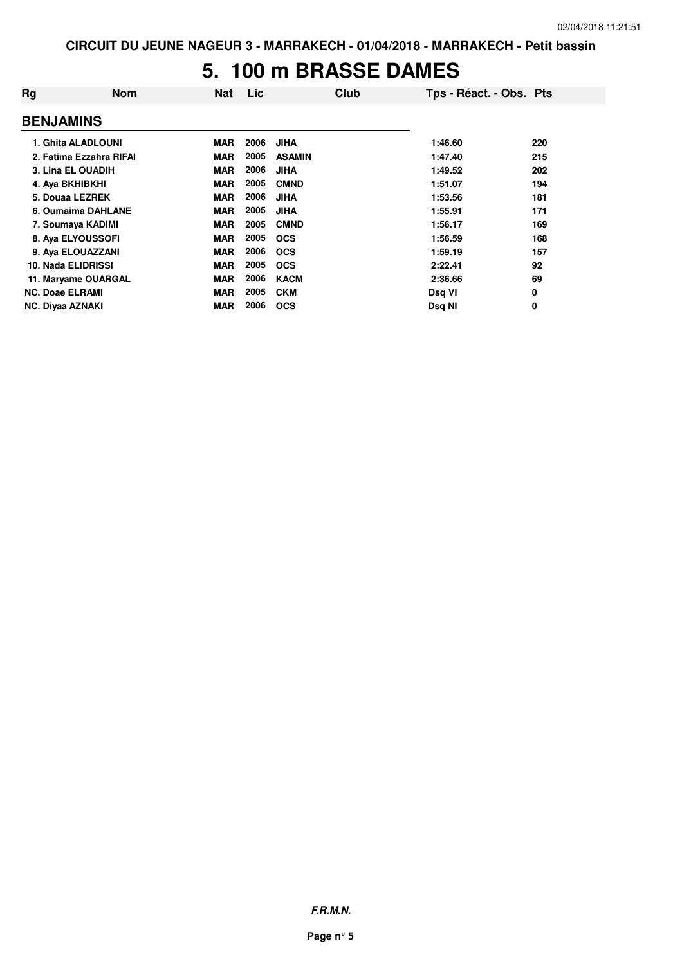#### **5. 100 m BRASSE DAMES**

| Rg | <b>Nom</b>              | <b>Nat</b> | Lic  | Club          | Tps - Réact. - Obs. Pts |     |
|----|-------------------------|------------|------|---------------|-------------------------|-----|
|    | <b>BENJAMINS</b>        |            |      |               |                         |     |
|    | 1. Ghita ALADLOUNI      | <b>MAR</b> | 2006 | <b>JIHA</b>   | 1:46.60                 | 220 |
|    | 2. Fatima Ezzahra RIFAI | <b>MAR</b> | 2005 | <b>ASAMIN</b> | 1:47.40                 | 215 |
|    | 3. Lina EL OUADIH       | <b>MAR</b> | 2006 | <b>JIHA</b>   | 1:49.52                 | 202 |
|    | 4. Aya BKHIBKHI         | <b>MAR</b> | 2005 | <b>CMND</b>   | 1:51.07                 | 194 |
|    | 5. Douaa LEZREK         | <b>MAR</b> | 2006 | <b>JIHA</b>   | 1:53.56                 | 181 |
|    | 6. Oumaima DAHLANE      | <b>MAR</b> | 2005 | <b>JIHA</b>   | 1:55.91                 | 171 |
|    | 7. Soumaya KADIMI       | MAR        | 2005 | <b>CMND</b>   | 1:56.17                 | 169 |
|    | 8. Aya ELYOUSSOFI       | <b>MAR</b> | 2005 | <b>OCS</b>    | 1:56.59                 | 168 |
|    | 9. Aya ELOUAZZANI       | MAR        | 2006 | <b>OCS</b>    | 1:59.19                 | 157 |
|    | 10. Nada ELIDRISSI      | <b>MAR</b> | 2005 | <b>OCS</b>    | 2:22.41                 | 92  |
|    | 11. Maryame OUARGAL     | <b>MAR</b> | 2006 | <b>KACM</b>   | 2:36.66                 | 69  |
|    | <b>NC. Doae ELRAMI</b>  | <b>MAR</b> | 2005 | <b>CKM</b>    | Dsq VI                  | 0   |
|    | <b>NC. Diyaa AZNAKI</b> | <b>MAR</b> | 2006 | <b>OCS</b>    | Dsq NI                  | 0   |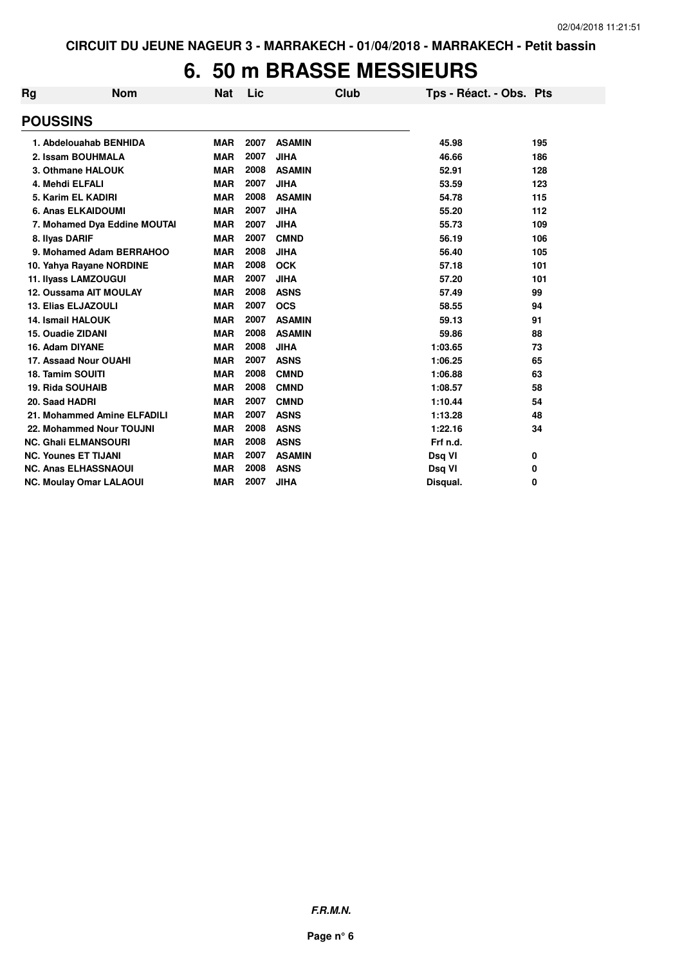### **6. 50 m BRASSE MESSIEURS**

| Rg                      | <b>Nom</b>                     | Nat        | Lic  |               | Club | Tps - Réact. - Obs. Pts |     |
|-------------------------|--------------------------------|------------|------|---------------|------|-------------------------|-----|
| <b>POUSSINS</b>         |                                |            |      |               |      |                         |     |
|                         | 1. Abdelouahab BENHIDA         | <b>MAR</b> | 2007 | <b>ASAMIN</b> |      | 45.98                   | 195 |
|                         | 2. Issam BOUHMALA              | <b>MAR</b> | 2007 | <b>JIHA</b>   |      | 46.66                   | 186 |
|                         | 3. Othmane HALOUK              | <b>MAR</b> | 2008 | <b>ASAMIN</b> |      | 52.91                   | 128 |
| 4. Mehdi ELFALI         |                                | <b>MAR</b> | 2007 | <b>JIHA</b>   |      | 53.59                   | 123 |
|                         | 5. Karim EL KADIRI             | <b>MAR</b> | 2008 | <b>ASAMIN</b> |      | 54.78                   | 115 |
|                         | 6. Anas ELKAIDOUMI             | <b>MAR</b> | 2007 | <b>JIHA</b>   |      | 55.20                   | 112 |
|                         | 7. Mohamed Dya Eddine MOUTAI   | <b>MAR</b> | 2007 | <b>JIHA</b>   |      | 55.73                   | 109 |
| 8. Ilyas DARIF          |                                | <b>MAR</b> | 2007 | <b>CMND</b>   |      | 56.19                   | 106 |
|                         | 9. Mohamed Adam BERRAHOO       | <b>MAR</b> | 2008 | <b>JIHA</b>   |      | 56.40                   | 105 |
|                         | 10. Yahya Rayane NORDINE       | <b>MAR</b> | 2008 | <b>OCK</b>    |      | 57.18                   | 101 |
|                         | 11. Ilyass LAMZOUGUI           | <b>MAR</b> | 2007 | <b>JIHA</b>   |      | 57.20                   | 101 |
|                         | 12. Oussama AIT MOULAY         | <b>MAR</b> | 2008 | <b>ASNS</b>   |      | 57.49                   | 99  |
|                         | <b>13. Elias ELJAZOULI</b>     | <b>MAR</b> | 2007 | <b>OCS</b>    |      | 58.55                   | 94  |
|                         | <b>14. Ismail HALOUK</b>       | <b>MAR</b> | 2007 | <b>ASAMIN</b> |      | 59.13                   | 91  |
| 15. Ouadie ZIDANI       |                                | <b>MAR</b> | 2008 | <b>ASAMIN</b> |      | 59.86                   | 88  |
| 16. Adam DIYANE         |                                | <b>MAR</b> | 2008 | <b>JIHA</b>   |      | 1:03.65                 | 73  |
|                         | 17. Assaad Nour OUAHI          | <b>MAR</b> | 2007 | <b>ASNS</b>   |      | 1:06.25                 | 65  |
| <b>18. Tamim SOUITI</b> |                                | <b>MAR</b> | 2008 | <b>CMND</b>   |      | 1:06.88                 | 63  |
| <b>19. Rida SOUHAIB</b> |                                | <b>MAR</b> | 2008 | <b>CMND</b>   |      | 1:08.57                 | 58  |
| 20. Saad HADRI          |                                | <b>MAR</b> | 2007 | <b>CMND</b>   |      | 1:10.44                 | 54  |
|                         | 21. Mohammed Amine ELFADILI    | <b>MAR</b> | 2007 | <b>ASNS</b>   |      | 1:13.28                 | 48  |
|                         | 22. Mohammed Nour TOUJNI       | <b>MAR</b> | 2008 | <b>ASNS</b>   |      | 1:22.16                 | 34  |
|                         | <b>NC. Ghali ELMANSOURI</b>    | <b>MAR</b> | 2008 | <b>ASNS</b>   |      | Frf n.d.                |     |
|                         | <b>NC. Younes ET TIJANI</b>    | <b>MAR</b> | 2007 | <b>ASAMIN</b> |      | Dsq VI                  | 0   |
|                         | <b>NC. Anas ELHASSNAOUI</b>    | <b>MAR</b> | 2008 | <b>ASNS</b>   |      | Dsq VI                  | 0   |
|                         | <b>NC. Moulay Omar LALAOUI</b> | <b>MAR</b> | 2007 | <b>JIHA</b>   |      | Disqual.                | 0   |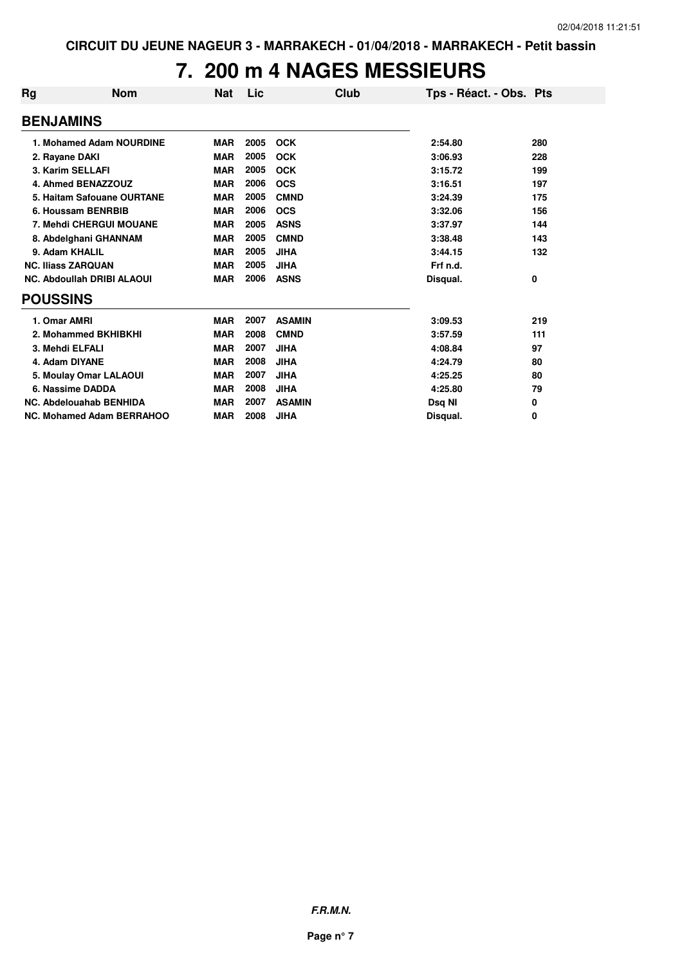## **7. 200 m 4 NAGES MESSIEURS**

| Rg                        | <b>Nom</b>                        | <b>Nat</b> | Lic  | Club          | Tps - Réact. - Obs. Pts |     |
|---------------------------|-----------------------------------|------------|------|---------------|-------------------------|-----|
| <b>BENJAMINS</b>          |                                   |            |      |               |                         |     |
|                           | 1. Mohamed Adam NOURDINE          | <b>MAR</b> | 2005 | <b>OCK</b>    | 2:54.80                 | 280 |
| 2. Rayane DAKI            |                                   | <b>MAR</b> | 2005 | <b>OCK</b>    | 3:06.93                 | 228 |
|                           | 3. Karim SELLAFI                  | <b>MAR</b> | 2005 | <b>OCK</b>    | 3:15.72                 | 199 |
|                           | 4. Ahmed BENAZZOUZ                | <b>MAR</b> | 2006 | <b>OCS</b>    | 3:16.51                 | 197 |
|                           | 5. Haitam Safouane OURTANE        | <b>MAR</b> | 2005 | <b>CMND</b>   | 3:24.39                 | 175 |
|                           | 6. Houssam BENRBIB                | <b>MAR</b> | 2006 | <b>OCS</b>    | 3:32.06                 | 156 |
|                           | <b>7. Mehdi CHERGUI MOUANE</b>    | <b>MAR</b> | 2005 | <b>ASNS</b>   | 3:37.97                 | 144 |
|                           | 8. Abdelghani GHANNAM             | <b>MAR</b> | 2005 | <b>CMND</b>   | 3:38.48                 | 143 |
| 9. Adam KHALIL            |                                   | <b>MAR</b> | 2005 | <b>JIHA</b>   | 3:44.15                 | 132 |
| <b>NC. Iliass ZARQUAN</b> |                                   | <b>MAR</b> | 2005 | <b>JIHA</b>   | Frf n.d.                |     |
|                           | <b>NC. Abdoullah DRIBI ALAOUI</b> | <b>MAR</b> | 2006 | <b>ASNS</b>   | Disqual.                | 0   |
| <b>POUSSINS</b>           |                                   |            |      |               |                         |     |
| 1. Omar AMRI              |                                   | <b>MAR</b> | 2007 | <b>ASAMIN</b> | 3:09.53                 | 219 |
|                           | 2. Mohammed BKHIBKHI              | <b>MAR</b> | 2008 | <b>CMND</b>   | 3:57.59                 | 111 |
| 3. Mehdi ELFALI           |                                   | <b>MAR</b> | 2007 | <b>JIHA</b>   | 4:08.84                 | 97  |
| 4. Adam DIYANE            |                                   | <b>MAR</b> | 2008 | <b>JIHA</b>   | 4:24.79                 | 80  |
|                           | 5. Moulay Omar LALAOUI            | <b>MAR</b> | 2007 | <b>JIHA</b>   | 4:25.25                 | 80  |
|                           | 6. Nassime DADDA                  | <b>MAR</b> | 2008 | <b>JIHA</b>   | 4:25.80                 | 79  |
|                           | NC. Abdelouahab BENHIDA           | <b>MAR</b> | 2007 | <b>ASAMIN</b> | Dsq NI                  | 0   |
|                           | <b>NC. Mohamed Adam BERRAHOO</b>  | <b>MAR</b> | 2008 | <b>JIHA</b>   | Disaual.                | 0   |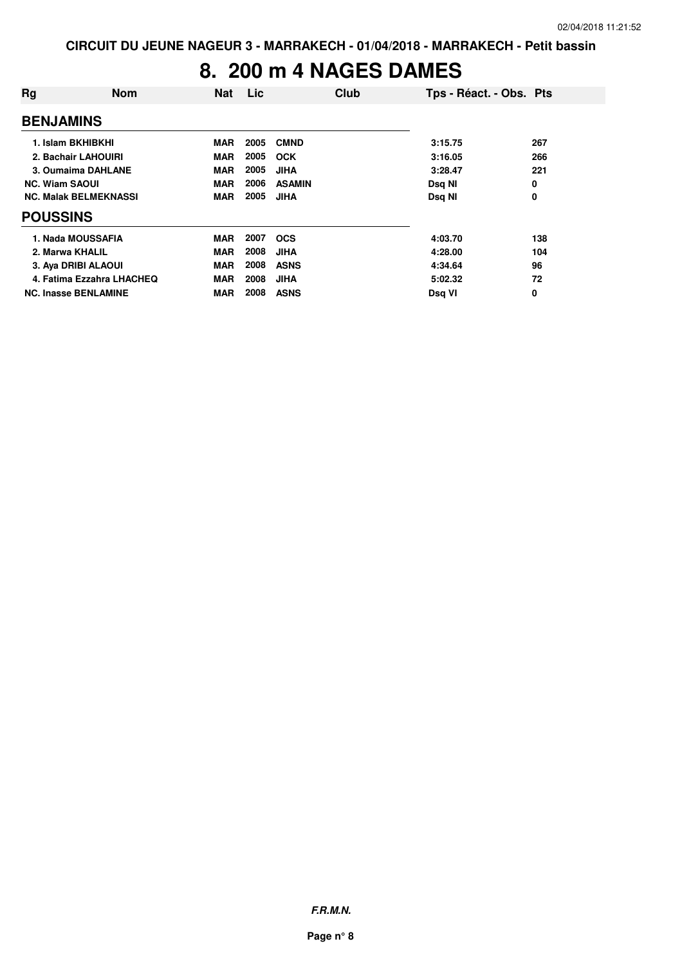#### **8. 200 m 4 NAGES DAMES**

| Rg                           | <b>Nom</b>                | <b>Nat</b> | Lic  | Club          | Tps - Réact. - Obs. Pts |     |
|------------------------------|---------------------------|------------|------|---------------|-------------------------|-----|
| <b>BENJAMINS</b>             |                           |            |      |               |                         |     |
| 1. Islam BKHIBKHI            |                           | <b>MAR</b> | 2005 | <b>CMND</b>   | 3:15.75                 | 267 |
| 2. Bachair LAHOUIRI          |                           | <b>MAR</b> | 2005 | <b>OCK</b>    | 3:16.05                 | 266 |
| 3. Oumaima DAHLANE           |                           | <b>MAR</b> | 2005 | <b>JIHA</b>   | 3:28.47                 | 221 |
| <b>NC. Wiam SAOUI</b>        |                           | <b>MAR</b> | 2006 | <b>ASAMIN</b> | Dsg NI                  | 0   |
| <b>NC. Malak BELMEKNASSI</b> |                           | <b>MAR</b> | 2005 | <b>JIHA</b>   | Dsq NI                  | 0   |
| <b>POUSSINS</b>              |                           |            |      |               |                         |     |
| 1. Nada MOUSSAFIA            |                           | <b>MAR</b> | 2007 | <b>OCS</b>    | 4:03.70                 | 138 |
| 2. Marwa KHALIL              |                           | <b>MAR</b> | 2008 | <b>JIHA</b>   | 4:28.00                 | 104 |
| 3. Aya DRIBI ALAOUI          |                           | <b>MAR</b> | 2008 | <b>ASNS</b>   | 4:34.64                 | 96  |
|                              | 4. Fatima Ezzahra LHACHEQ | <b>MAR</b> | 2008 | <b>JIHA</b>   | 5:02.32                 | 72  |
| <b>NC. Inasse BENLAMINE</b>  |                           | <b>MAR</b> | 2008 | <b>ASNS</b>   | Dsg VI                  | 0   |

**F.R.M.N.**

**Page n° 8**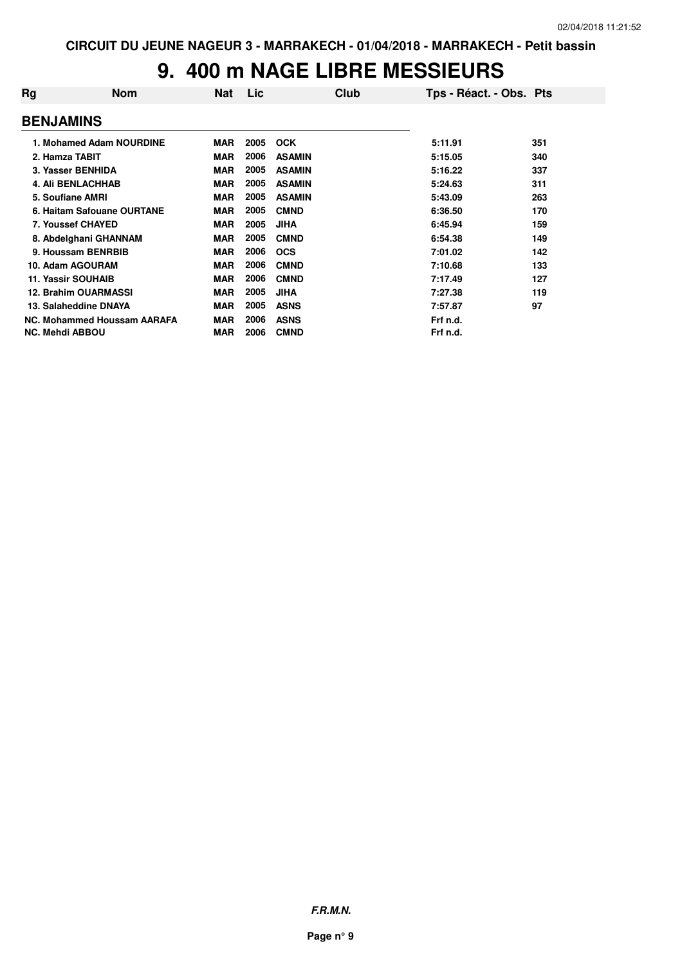## **9. 400 m NAGE LIBRE MESSIEURS**

| Rg                        | <b>Nom</b>                  | Nat        | Lic  | Club          | Tps - Réact. - Obs. Pts |     |
|---------------------------|-----------------------------|------------|------|---------------|-------------------------|-----|
| <b>BENJAMINS</b>          |                             |            |      |               |                         |     |
|                           | 1. Mohamed Adam NOURDINE    | <b>MAR</b> | 2005 | <b>OCK</b>    | 5:11.91                 | 351 |
| 2. Hamza TABIT            |                             | <b>MAR</b> | 2006 | <b>ASAMIN</b> | 5:15.05                 | 340 |
|                           | 3. Yasser BENHIDA           | <b>MAR</b> | 2005 | <b>ASAMIN</b> | 5:16.22                 | 337 |
|                           | <b>4. Ali BENLACHHAB</b>    | <b>MAR</b> | 2005 | <b>ASAMIN</b> | 5:24.63                 | 311 |
| 5. Soufiane AMRI          |                             | <b>MAR</b> | 2005 | <b>ASAMIN</b> | 5:43.09                 | 263 |
|                           | 6. Haitam Safouane OURTANE  | <b>MAR</b> | 2005 | <b>CMND</b>   | 6:36.50                 | 170 |
|                           | 7. Youssef CHAYED           | <b>MAR</b> | 2005 | <b>JIHA</b>   | 6:45.94                 | 159 |
|                           | 8. Abdelghani GHANNAM       | <b>MAR</b> | 2005 | <b>CMND</b>   | 6:54.38                 | 149 |
|                           | 9. Houssam BENRBIB          | <b>MAR</b> | 2006 | <b>OCS</b>    | 7:01.02                 | 142 |
|                           | 10. Adam AGOURAM            | <b>MAR</b> | 2006 | <b>CMND</b>   | 7:10.68                 | 133 |
| <b>11. Yassir SOUHAIB</b> |                             | <b>MAR</b> | 2006 | <b>CMND</b>   | 7:17.49                 | 127 |
|                           | <b>12. Brahim OUARMASSI</b> | <b>MAR</b> | 2005 | <b>JIHA</b>   | 7:27.38                 | 119 |
|                           | 13. Salaheddine DNAYA       | <b>MAR</b> | 2005 | <b>ASNS</b>   | 7:57.87                 | 97  |
|                           | NC. Mohammed Houssam AARAFA | <b>MAR</b> | 2006 | <b>ASNS</b>   | Frf n.d.                |     |
| <b>NC. Mehdi ABBOU</b>    |                             | <b>MAR</b> | 2006 | <b>CMND</b>   | Frf n.d.                |     |

**F.R.M.N.**

**Page n° 9**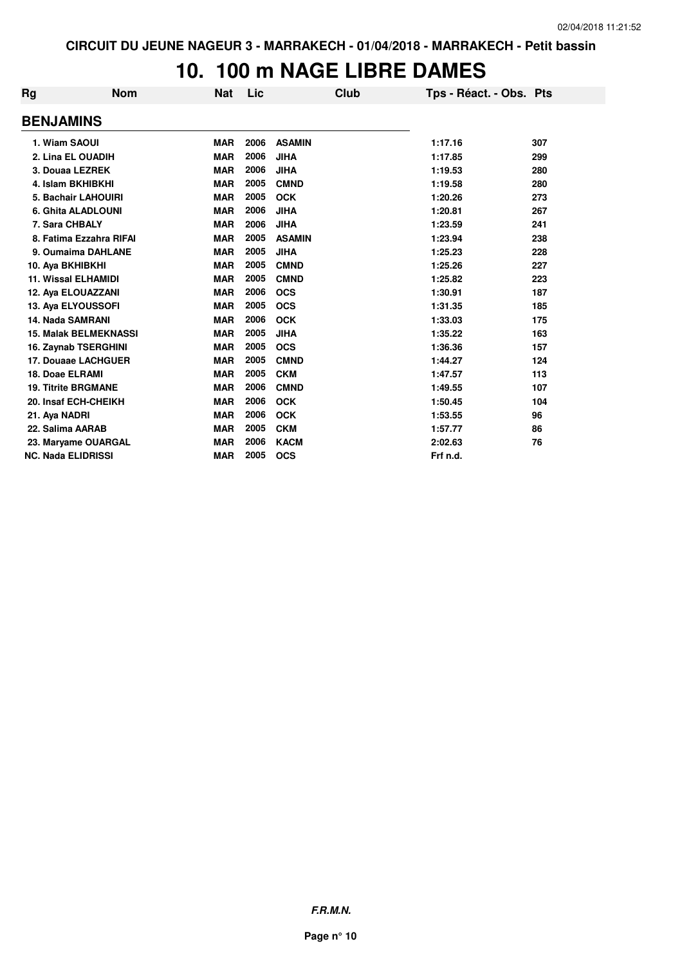# **10. 100 m NAGE LIBRE DAMES**

| Rg                        | <b>Nom</b>                   | <b>Nat</b> | Lic  | Club          | Tps - Réact. - Obs. Pts |     |
|---------------------------|------------------------------|------------|------|---------------|-------------------------|-----|
| <b>BENJAMINS</b>          |                              |            |      |               |                         |     |
| 1. Wiam SAOUI             |                              | <b>MAR</b> | 2006 | <b>ASAMIN</b> | 1:17.16                 | 307 |
|                           | 2. Lina EL OUADIH            | <b>MAR</b> | 2006 | <b>JIHA</b>   | 1:17.85                 | 299 |
|                           | 3. Douaa LEZREK              | <b>MAR</b> | 2006 | <b>JIHA</b>   | 1:19.53                 | 280 |
|                           | 4. Islam BKHIBKHI            | <b>MAR</b> | 2005 | <b>CMND</b>   | 1:19.58                 | 280 |
|                           | 5. Bachair LAHOUIRI          | <b>MAR</b> | 2005 | <b>OCK</b>    | 1:20.26                 | 273 |
|                           | 6. Ghita ALADLOUNI           | <b>MAR</b> | 2006 | <b>JIHA</b>   | 1:20.81                 | 267 |
| 7. Sara CHBALY            |                              | <b>MAR</b> | 2006 | <b>JIHA</b>   | 1:23.59                 | 241 |
|                           | 8. Fatima Ezzahra RIFAI      | <b>MAR</b> | 2005 | <b>ASAMIN</b> | 1:23.94                 | 238 |
|                           | 9. Oumaima DAHLANE           | <b>MAR</b> | 2005 | <b>JIHA</b>   | 1:25.23                 | 228 |
| 10. Aya BKHIBKHI          |                              | <b>MAR</b> | 2005 | <b>CMND</b>   | 1:25.26                 | 227 |
|                           | <b>11. Wissal ELHAMIDI</b>   | <b>MAR</b> | 2005 | <b>CMND</b>   | 1:25.82                 | 223 |
|                           | 12. Aya ELOUAZZANI           | <b>MAR</b> | 2006 | <b>OCS</b>    | 1:30.91                 | 187 |
|                           | 13. Aya ELYOUSSOFI           | <b>MAR</b> | 2005 | <b>OCS</b>    | 1:31.35                 | 185 |
| 14. Nada SAMRANI          |                              | <b>MAR</b> | 2006 | <b>OCK</b>    | 1:33.03                 | 175 |
|                           | <b>15. Malak BELMEKNASSI</b> | <b>MAR</b> | 2005 | <b>JIHA</b>   | 1:35.22                 | 163 |
|                           | 16. Zaynab TSERGHINI         | <b>MAR</b> | 2005 | <b>OCS</b>    | 1:36.36                 | 157 |
|                           | 17. Douaae LACHGUER          | <b>MAR</b> | 2005 | <b>CMND</b>   | 1:44.27                 | 124 |
| 18. Doae ELRAMI           |                              | <b>MAR</b> | 2005 | <b>CKM</b>    | 1:47.57                 | 113 |
|                           | <b>19. Titrite BRGMANE</b>   | <b>MAR</b> | 2006 | <b>CMND</b>   | 1:49.55                 | 107 |
|                           | 20. Insaf ECH-CHEIKH         | <b>MAR</b> | 2006 | <b>OCK</b>    | 1:50.45                 | 104 |
| 21. Aya NADRI             |                              | <b>MAR</b> | 2006 | <b>OCK</b>    | 1:53.55                 | 96  |
| 22. Salima AARAB          |                              | <b>MAR</b> | 2005 | <b>CKM</b>    | 1:57.77                 | 86  |
|                           | 23. Maryame OUARGAL          | <b>MAR</b> | 2006 | <b>KACM</b>   | 2:02.63                 | 76  |
| <b>NC. Nada ELIDRISSI</b> |                              | <b>MAR</b> | 2005 | <b>OCS</b>    | Frf n.d.                |     |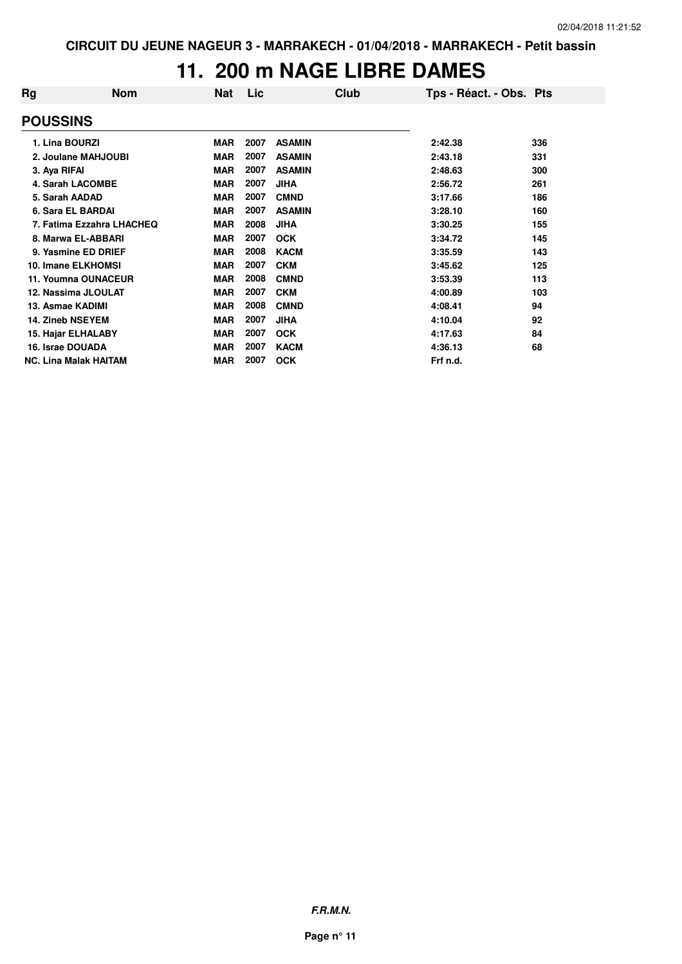### **11. 200 m NAGE LIBRE DAMES**

| Rg                      | <b>Nom</b>                   | Nat        | Lic  | Club          | Tps - Réact. - Obs. Pts |     |
|-------------------------|------------------------------|------------|------|---------------|-------------------------|-----|
| <b>POUSSINS</b>         |                              |            |      |               |                         |     |
| 1. Lina BOURZI          |                              | <b>MAR</b> | 2007 | <b>ASAMIN</b> | 2:42.38                 | 336 |
|                         | 2. Joulane MAHJOUBI          | <b>MAR</b> | 2007 | <b>ASAMIN</b> | 2:43.18                 | 331 |
| 3. Aya RIFAI            |                              | <b>MAR</b> | 2007 | <b>ASAMIN</b> | 2:48.63                 | 300 |
|                         | <b>4. Sarah LACOMBE</b>      | <b>MAR</b> | 2007 | <b>JIHA</b>   | 2:56.72                 | 261 |
| 5. Sarah AADAD          |                              | <b>MAR</b> | 2007 | <b>CMND</b>   | 3:17.66                 | 186 |
|                         | 6. Sara EL BARDAI            | <b>MAR</b> | 2007 | <b>ASAMIN</b> | 3:28.10                 | 160 |
|                         | 7. Fatima Ezzahra LHACHEQ    | <b>MAR</b> | 2008 | <b>JIHA</b>   | 3:30.25                 | 155 |
|                         | 8. Marwa EL-ABBARI           | <b>MAR</b> | 2007 | <b>OCK</b>    | 3:34.72                 | 145 |
|                         | 9. Yasmine ED DRIEF          | <b>MAR</b> | 2008 | <b>KACM</b>   | 3:35.59                 | 143 |
|                         | 10. Imane ELKHOMSI           | <b>MAR</b> | 2007 | <b>CKM</b>    | 3:45.62                 | 125 |
|                         | 11. Youmna OUNACEUR          | <b>MAR</b> | 2008 | <b>CMND</b>   | 3:53.39                 | 113 |
|                         | 12. Nassima JLOULAT          | <b>MAR</b> | 2007 | <b>CKM</b>    | 4:00.89                 | 103 |
| 13. Asmae KADIMI        |                              | <b>MAR</b> | 2008 | <b>CMND</b>   | 4:08.41                 | 94  |
| <b>14. Zineb NSEYEM</b> |                              | <b>MAR</b> | 2007 | <b>JIHA</b>   | 4:10.04                 | 92  |
|                         | 15. Hajar ELHALABY           | <b>MAR</b> | 2007 | <b>OCK</b>    | 4:17.63                 | 84  |
| 16. Israe DOUADA        |                              | <b>MAR</b> | 2007 | <b>KACM</b>   | 4:36.13                 | 68  |
|                         | <b>NC. Lina Malak HAITAM</b> | MAR        | 2007 | <b>OCK</b>    | Frf n.d.                |     |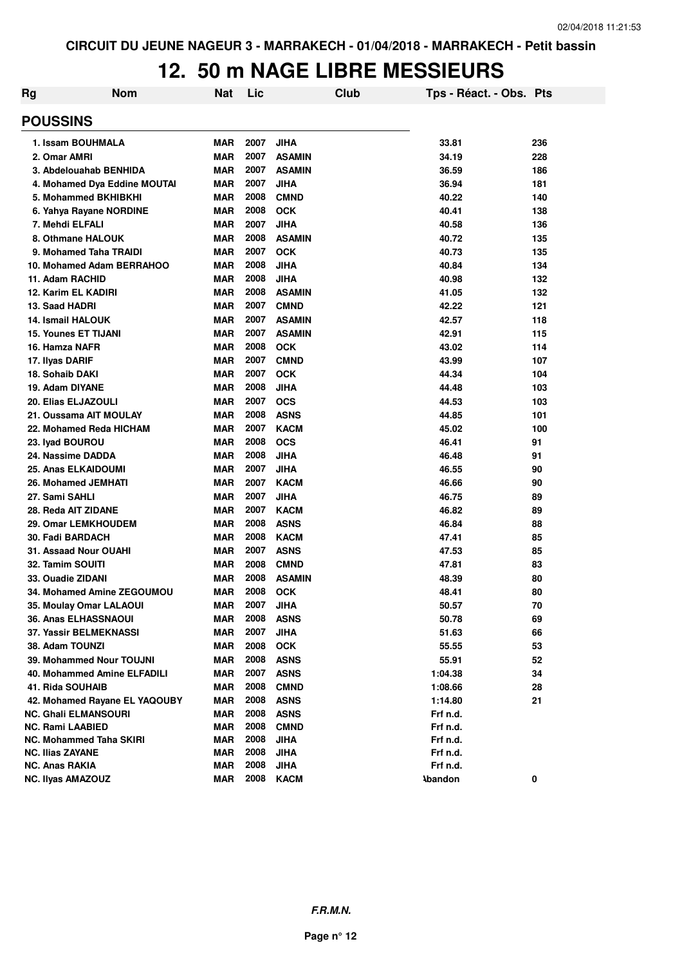# **12. 50 m NAGE LIBRE MESSIEURS**

| Rg | <b>Nom</b>                    | <b>Nat</b> | Lic  |               | Club | Tps - Réact. - Obs. Pts |     |
|----|-------------------------------|------------|------|---------------|------|-------------------------|-----|
|    | <b>POUSSINS</b>               |            |      |               |      |                         |     |
|    | 1. Issam BOUHMALA             | <b>MAR</b> | 2007 | <b>JIHA</b>   |      | 33.81                   | 236 |
|    | 2. Omar AMRI                  | <b>MAR</b> | 2007 | <b>ASAMIN</b> |      | 34.19                   | 228 |
|    | 3. Abdelouahab BENHIDA        | <b>MAR</b> | 2007 | <b>ASAMIN</b> |      | 36.59                   | 186 |
|    | 4. Mohamed Dya Eddine MOUTAI  | <b>MAR</b> | 2007 | <b>JIHA</b>   |      | 36.94                   | 181 |
|    | 5. Mohammed BKHIBKHI          | <b>MAR</b> | 2008 | <b>CMND</b>   |      | 40.22                   | 140 |
|    | 6. Yahya Rayane NORDINE       | <b>MAR</b> | 2008 | <b>OCK</b>    |      | 40.41                   | 138 |
|    | 7. Mehdi ELFALI               | <b>MAR</b> | 2007 | <b>JIHA</b>   |      | 40.58                   | 136 |
|    | 8. Othmane HALOUK             | <b>MAR</b> | 2008 | <b>ASAMIN</b> |      | 40.72                   | 135 |
|    | 9. Mohamed Taha TRAIDI        | <b>MAR</b> | 2007 | <b>OCK</b>    |      | 40.73                   | 135 |
|    | 10. Mohamed Adam BERRAHOO     | <b>MAR</b> | 2008 | <b>JIHA</b>   |      | 40.84                   | 134 |
|    | 11. Adam RACHID               | <b>MAR</b> | 2008 | <b>JIHA</b>   |      | 40.98                   | 132 |
|    | 12. Karim EL KADIRI           | <b>MAR</b> | 2008 | <b>ASAMIN</b> |      | 41.05                   | 132 |
|    | 13. Saad HADRI                | <b>MAR</b> | 2007 | <b>CMND</b>   |      | 42.22                   | 121 |
|    | <b>14. Ismail HALOUK</b>      | <b>MAR</b> | 2007 | <b>ASAMIN</b> |      | 42.57                   | 118 |
|    | <b>15. Younes ET TIJANI</b>   | <b>MAR</b> | 2007 | <b>ASAMIN</b> |      | 42.91                   | 115 |
|    | 16. Hamza NAFR                | <b>MAR</b> | 2008 | <b>OCK</b>    |      | 43.02                   | 114 |
|    | 17. Ilyas DARIF               | <b>MAR</b> | 2007 | <b>CMND</b>   |      | 43.99                   | 107 |
|    | 18. Sohaib DAKI               | <b>MAR</b> | 2007 | <b>OCK</b>    |      | 44.34                   | 104 |
|    | 19. Adam DIYANE               | <b>MAR</b> | 2008 | <b>JIHA</b>   |      | 44.48                   | 103 |
|    | 20. Elias ELJAZOULI           | <b>MAR</b> | 2007 | <b>OCS</b>    |      | 44.53                   | 103 |
|    | 21. Oussama AIT MOULAY        | <b>MAR</b> | 2008 | <b>ASNS</b>   |      | 44.85                   | 101 |
|    | 22. Mohamed Reda HICHAM       | <b>MAR</b> | 2007 | <b>KACM</b>   |      | 45.02                   | 100 |
|    | 23. Iyad BOUROU               | <b>MAR</b> | 2008 | <b>OCS</b>    |      | 46.41                   | 91  |
|    | 24. Nassime DADDA             | <b>MAR</b> | 2008 | <b>JIHA</b>   |      | 46.48                   | 91  |
|    | <b>25. Anas ELKAIDOUMI</b>    | <b>MAR</b> | 2007 | <b>JIHA</b>   |      | 46.55                   | 90  |
|    | 26. Mohamed JEMHATI           | <b>MAR</b> | 2007 | <b>KACM</b>   |      | 46.66                   | 90  |
|    | 27. Sami SAHLI                | <b>MAR</b> | 2007 | <b>JIHA</b>   |      | 46.75                   | 89  |
|    | 28. Reda AIT ZIDANE           | <b>MAR</b> | 2007 | <b>KACM</b>   |      | 46.82                   | 89  |
|    | 29. Omar LEMKHOUDEM           | <b>MAR</b> | 2008 | <b>ASNS</b>   |      | 46.84                   | 88  |
|    | 30. Fadi BARDACH              | <b>MAR</b> | 2008 | <b>KACM</b>   |      | 47.41                   | 85  |
|    | 31. Assaad Nour OUAHI         | <b>MAR</b> | 2007 | <b>ASNS</b>   |      | 47.53                   | 85  |
|    | 32. Tamim SOUITI              | <b>MAR</b> | 2008 | <b>CMND</b>   |      | 47.81                   | 83  |
|    | 33. Ouadie ZIDANI             | <b>MAR</b> | 2008 | <b>ASAMIN</b> |      | 48.39                   | 80  |
|    | 34. Mohamed Amine ZEGOUMOU    | <b>MAR</b> | 2008 | <b>OCK</b>    |      | 48.41                   | 80  |
|    | 35. Moulay Omar LALAOUI       | <b>MAR</b> | 2007 | <b>JIHA</b>   |      | 50.57                   | 70  |
|    | 36. Anas ELHASSNAOUI          | <b>MAR</b> | 2008 | <b>ASNS</b>   |      | 50.78                   | 69  |
|    | 37. Yassir BELMEKNASSI        | <b>MAR</b> | 2007 | <b>JIHA</b>   |      | 51.63                   | 66  |
|    | 38. Adam TOUNZI               | <b>MAR</b> | 2008 | <b>OCK</b>    |      | 55.55                   | 53  |
|    | 39. Mohammed Nour TOUJNI      | <b>MAR</b> | 2008 | <b>ASNS</b>   |      | 55.91                   | 52  |
|    | 40. Mohammed Amine ELFADILI   | <b>MAR</b> | 2007 | <b>ASNS</b>   |      | 1:04.38                 | 34  |
|    | 41. Rida SOUHAIB              | <b>MAR</b> | 2008 | <b>CMND</b>   |      | 1:08.66                 | 28  |
|    | 42. Mohamed Rayane EL YAQOUBY | <b>MAR</b> | 2008 | <b>ASNS</b>   |      | 1:14.80                 | 21  |
|    | <b>NC. Ghali ELMANSOURI</b>   | <b>MAR</b> | 2008 | <b>ASNS</b>   |      | Frf n.d.                |     |
|    | <b>NC. Rami LAABIED</b>       | <b>MAR</b> | 2008 | <b>CMND</b>   |      | Frf n.d.                |     |
|    | NC. Mohammed Taha SKIRI       | <b>MAR</b> | 2008 | <b>JIHA</b>   |      | Frf n.d.                |     |
|    | <b>NC. Ilias ZAYANE</b>       | <b>MAR</b> | 2008 | <b>JIHA</b>   |      | Frf n.d.                |     |
|    | <b>NC. Anas RAKIA</b>         | <b>MAR</b> | 2008 | <b>JIHA</b>   |      | Frf n.d.                |     |
|    | <b>NC. Ilyas AMAZOUZ</b>      | <b>MAR</b> | 2008 | <b>KACM</b>   |      | <b>Abandon</b>          | 0   |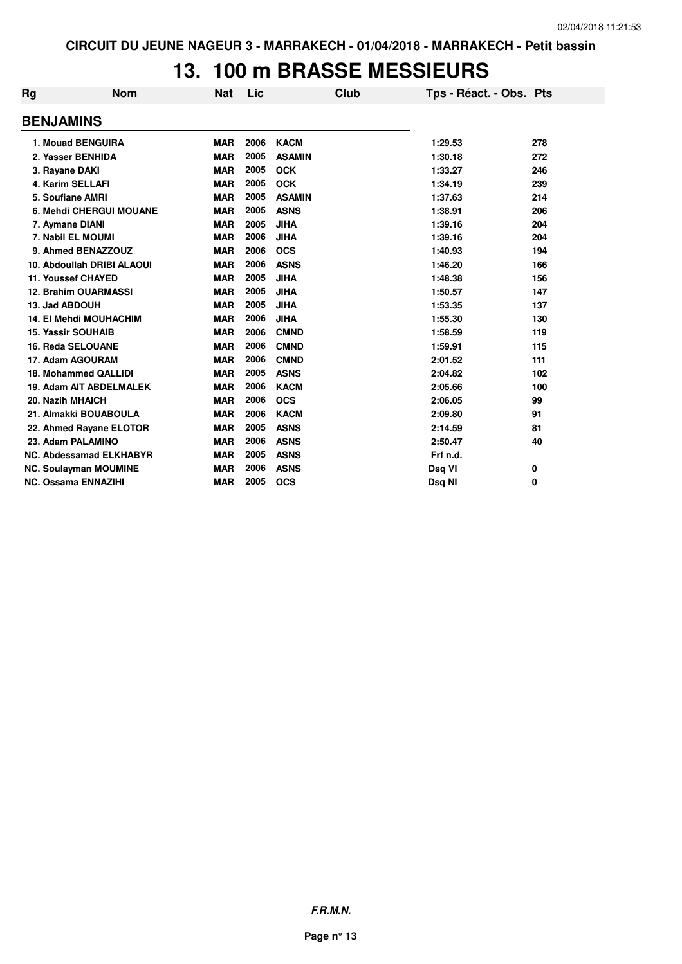## **13. 100 m BRASSE MESSIEURS**

| Rg                             | <b>Nom</b>                    | <b>Nat</b> | Lic  | Club          | Tps - Réact. - Obs. Pts |     |
|--------------------------------|-------------------------------|------------|------|---------------|-------------------------|-----|
| <b>BENJAMINS</b>               |                               |            |      |               |                         |     |
| 1. Mouad BENGUIRA              |                               | <b>MAR</b> | 2006 | <b>KACM</b>   | 1:29.53                 | 278 |
| 2. Yasser BENHIDA              |                               | <b>MAR</b> | 2005 | <b>ASAMIN</b> | 1:30.18                 | 272 |
| 3. Rayane DAKI                 |                               | <b>MAR</b> | 2005 | <b>OCK</b>    | 1:33.27                 | 246 |
| <b>4. Karim SELLAFI</b>        |                               | <b>MAR</b> | 2005 | <b>OCK</b>    | 1:34.19                 | 239 |
| 5. Soufiane AMRI               |                               | <b>MAR</b> | 2005 | <b>ASAMIN</b> | 1:37.63                 | 214 |
| 6. Mehdi CHERGUI MOUANE        |                               | <b>MAR</b> | 2005 | <b>ASNS</b>   | 1:38.91                 | 206 |
| 7. Aymane DIANI                |                               | <b>MAR</b> | 2005 | <b>JIHA</b>   | 1:39.16                 | 204 |
| 7. Nabil EL MOUMI              |                               | <b>MAR</b> | 2006 | <b>JIHA</b>   | 1:39.16                 | 204 |
| 9. Ahmed BENAZZOUZ             |                               | <b>MAR</b> | 2006 | <b>OCS</b>    | 1:40.93                 | 194 |
| 10. Abdoullah DRIBI ALAOUI     |                               | <b>MAR</b> | 2006 | <b>ASNS</b>   | 1:46.20                 | 166 |
| 11. Youssef CHAYED             |                               | <b>MAR</b> | 2005 | <b>JIHA</b>   | 1:48.38                 | 156 |
| <b>12. Brahim OUARMASSI</b>    |                               | <b>MAR</b> | 2005 | <b>JIHA</b>   | 1:50.57                 | 147 |
| 13. Jad ABDOUH                 |                               | <b>MAR</b> | 2005 | <b>JIHA</b>   | 1:53.35                 | 137 |
|                                | <b>14. El Mehdi MOUHACHIM</b> | <b>MAR</b> | 2006 | <b>JIHA</b>   | 1:55.30                 | 130 |
| <b>15. Yassir SOUHAIB</b>      |                               | <b>MAR</b> | 2006 | <b>CMND</b>   | 1:58.59                 | 119 |
| <b>16. Reda SELOUANE</b>       |                               | <b>MAR</b> | 2006 | <b>CMND</b>   | 1:59.91                 | 115 |
| 17. Adam AGOURAM               |                               | <b>MAR</b> | 2006 | <b>CMND</b>   | 2:01.52                 | 111 |
| 18. Mohammed QALLIDI           |                               | <b>MAR</b> | 2005 | <b>ASNS</b>   | 2:04.82                 | 102 |
|                                | 19. Adam AIT ABDELMALEK       | <b>MAR</b> | 2006 | <b>KACM</b>   | 2:05.66                 | 100 |
| 20. Nazih MHAICH               |                               | <b>MAR</b> | 2006 | <b>OCS</b>    | 2:06.05                 | 99  |
| 21. Almakki BOUABOULA          |                               | <b>MAR</b> | 2006 | <b>KACM</b>   | 2:09.80                 | 91  |
|                                | 22. Ahmed Rayane ELOTOR       | <b>MAR</b> | 2005 | <b>ASNS</b>   | 2:14.59                 | 81  |
| 23. Adam PALAMINO              |                               | <b>MAR</b> | 2006 | <b>ASNS</b>   | 2:50.47                 | 40  |
| <b>NC. Abdessamad ELKHABYR</b> |                               | <b>MAR</b> | 2005 | <b>ASNS</b>   | Frf n.d.                |     |
| <b>NC. Soulayman MOUMINE</b>   |                               | <b>MAR</b> | 2006 | <b>ASNS</b>   | Dsq VI                  | 0   |
| <b>NC. Ossama ENNAZIHI</b>     |                               | <b>MAR</b> | 2005 | <b>OCS</b>    | Dsq NI                  | 0   |